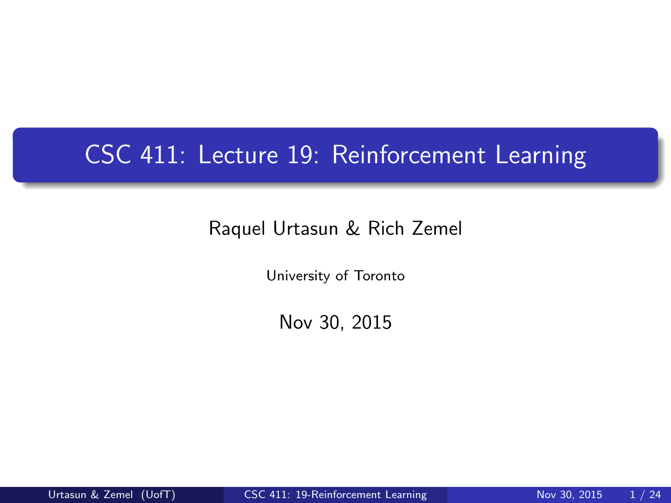# CSC 411: Lecture 19: Reinforcement Learning

#### Raquel Urtasun & Rich Zemel

University of Toronto

<span id="page-0-0"></span>Nov 30, 2015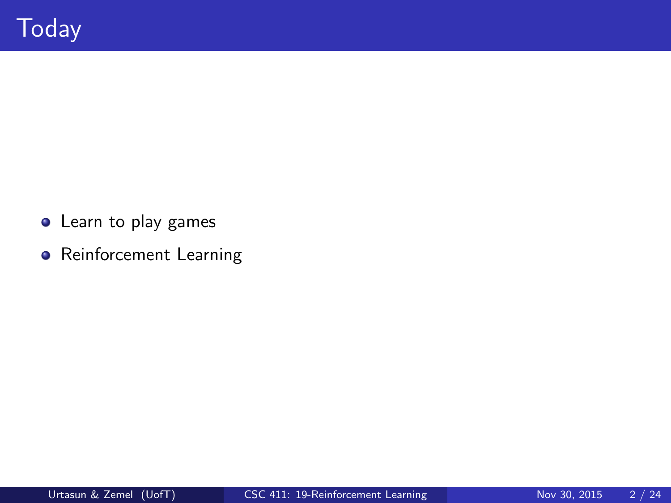- Learn to play games
- **•** Reinforcement Learning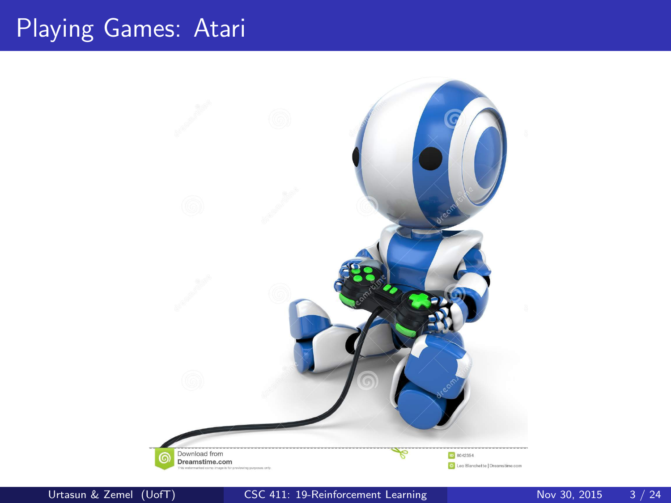## Playing Games: Atari

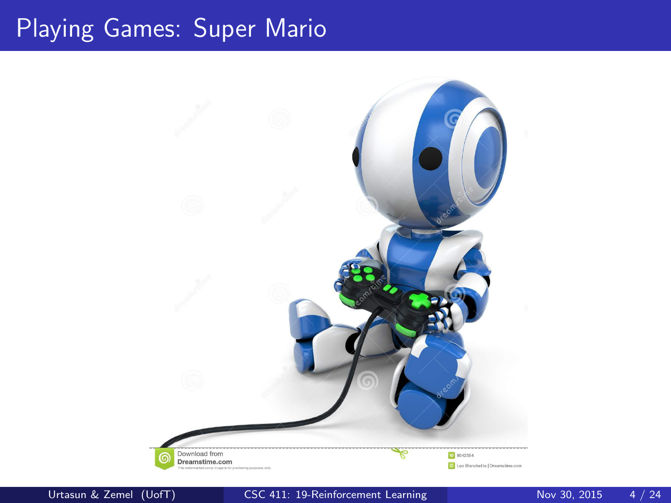## Playing Games: Super Mario

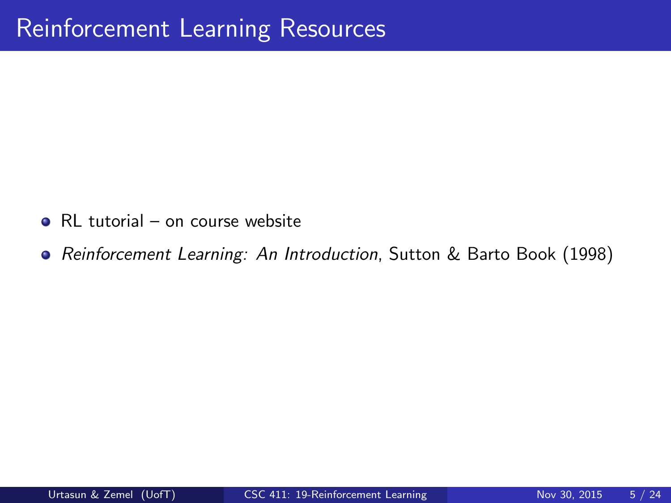- RL tutorial on course website
- Reinforcement Learning: An Introduction, Sutton & Barto Book (1998)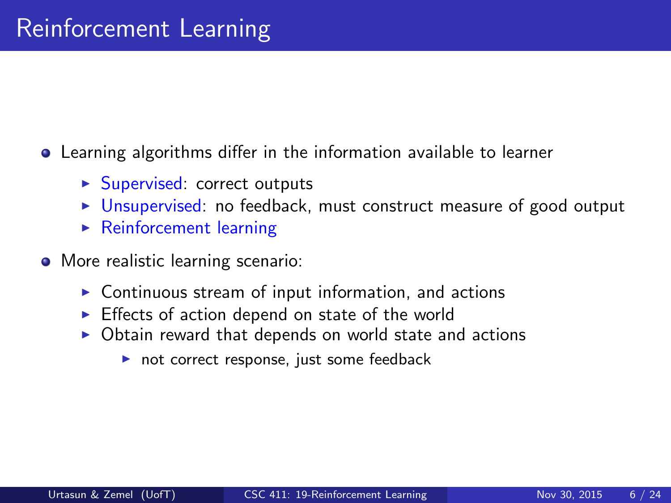Learning algorithms differ in the information available to learner

- $\blacktriangleright$  Supervised: correct outputs
- $\triangleright$  Unsupervised: no feedback, must construct measure of good output
- $\blacktriangleright$  Reinforcement learning
- More realistic learning scenario:
	- $\triangleright$  Continuous stream of input information, and actions
	- $\triangleright$  Effects of action depend on state of the world
	- $\triangleright$  Obtain reward that depends on world state and actions
		- $\triangleright$  not correct response, just some feedback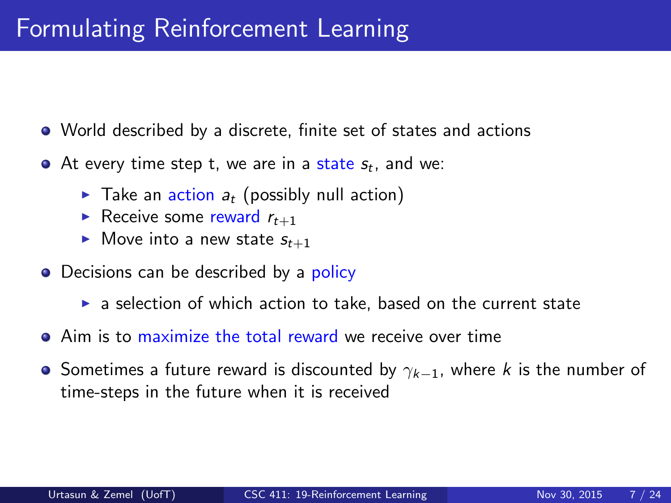### Formulating Reinforcement Learning

- World described by a discrete, finite set of states and actions
- At every time step t, we are in a state  $s_t$ , and we:
	- $\blacktriangleright$  Take an action  $a_t$  (possibly null action)
	- Receive some reward  $r_{t+1}$
	- $\blacktriangleright$  Move into a new state  $s_{t+1}$
- Decisions can be described by a policy
	- $\triangleright$  a selection of which action to take, based on the current state
- Aim is to maximize the total reward we receive over time
- Sometimes a future reward is discounted by  $\gamma_{k-1}$ , where k is the number of time-steps in the future when it is received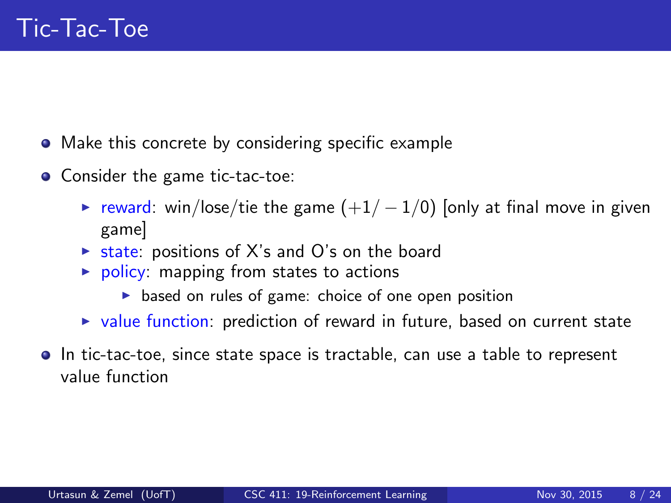- Make this concrete by considering specific example
- Consider the game tic-tac-toe:
	- $\triangleright$  reward: win/lose/tie the game  $(+1/-1/0)$  [only at final move in given game]
	- $\triangleright$  state: positions of X's and O's on the board
	- $\triangleright$  policy: mapping from states to actions
		- $\triangleright$  based on rules of game: choice of one open position
	- $\triangleright$  value function: prediction of reward in future, based on current state
- In tic-tac-toe, since state space is tractable, can use a table to represent value function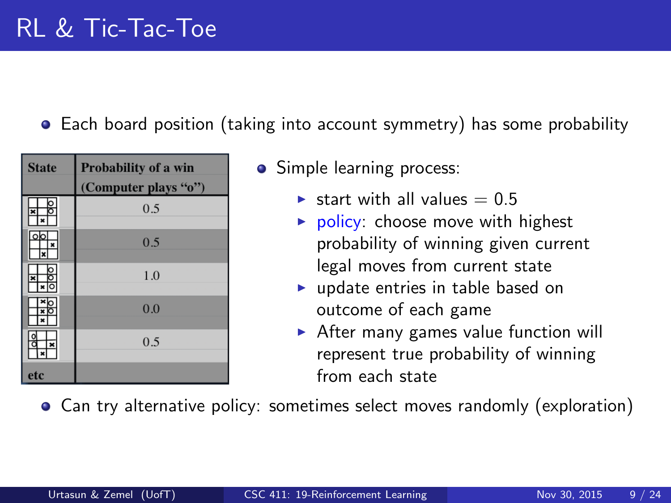#### Each board position (taking into account symmetry) has some probability

| <b>State</b>            | Probability of a win<br>(Computer plays "o") |
|-------------------------|----------------------------------------------|
|                         |                                              |
|                         | 0.5                                          |
| olo<br>×                | 0.5                                          |
| ×                       |                                              |
|                         | 1.0                                          |
|                         |                                              |
| $\overline{\textbf{x}}$ | 0.0                                          |
|                         |                                              |
| ×                       | 0.5                                          |
|                         |                                              |
| etc                     |                                              |

- Simple learning process:
	- $\blacktriangleright$  start with all values = 0.5
	- $\triangleright$  policy: choose move with highest probability of winning given current legal moves from current state
	- $\blacktriangleright$  update entries in table based on outcome of each game
	- $\triangleright$  After many games value function will represent true probability of winning from each state

Can try alternative policy: sometimes select moves randomly (exploration)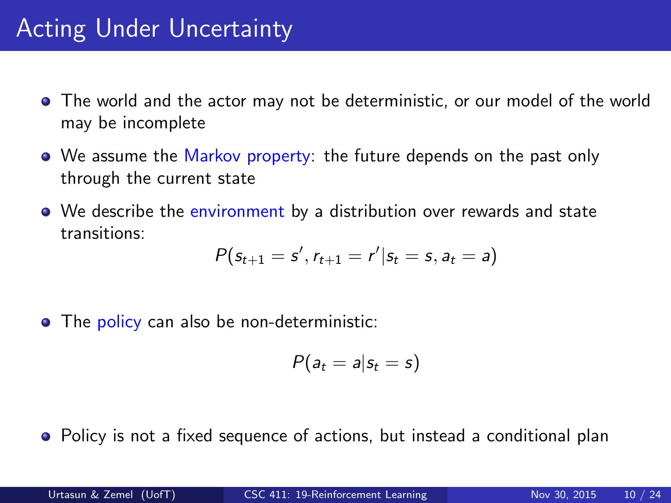# Acting Under Uncertainty

- The world and the actor may not be deterministic, or our model of the world may be incomplete
- We assume the Markov property: the future depends on the past only through the current state
- We describe the environment by a distribution over rewards and state transitions:

$$
P(s_{t+1} = s', r_{t+1} = r'|s_t = s, a_t = a)
$$

• The policy can also be non-deterministic:

$$
P(a_t = a | s_t = s)
$$

• Policy is not a fixed sequence of actions, but instead a conditional plan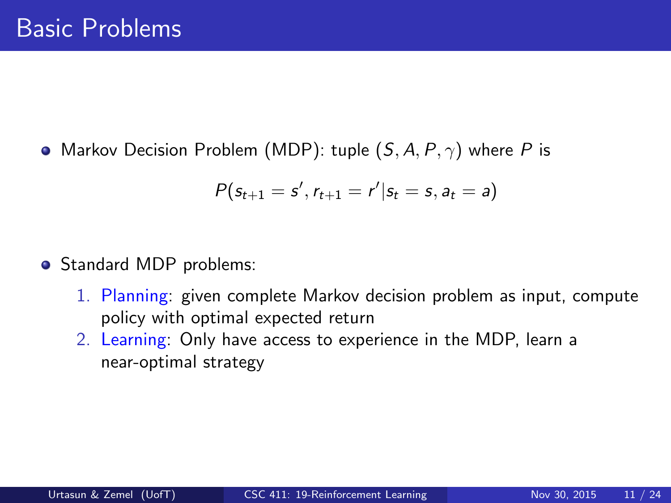• Markov Decision Problem (MDP): tuple  $(S, A, P, \gamma)$  where P is

$$
P(s_{t+1} = s', r_{t+1} = r'|s_t = s, a_t = a)
$$

- Standard MDP problems:
	- 1. Planning: given complete Markov decision problem as input, compute policy with optimal expected return
	- 2. Learning: Only have access to experience in the MDP, learn a near-optimal strategy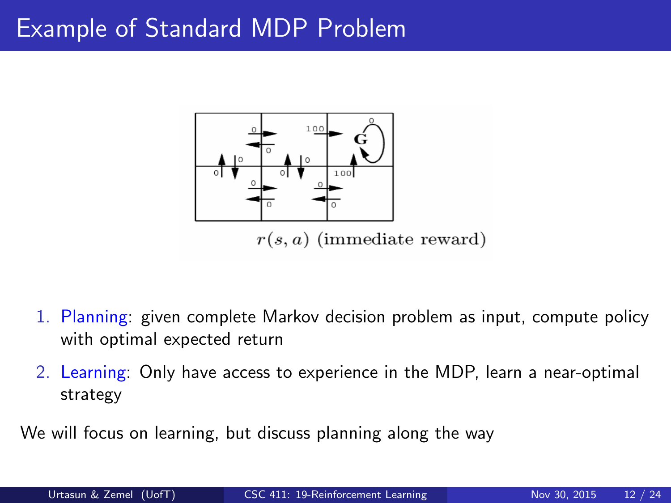#### Example of Standard MDP Problem



- 1. Planning: given complete Markov decision problem as input, compute policy with optimal expected return
- 2. Learning: Only have access to experience in the MDP, learn a near-optimal strategy

We will focus on learning, but discuss planning along the way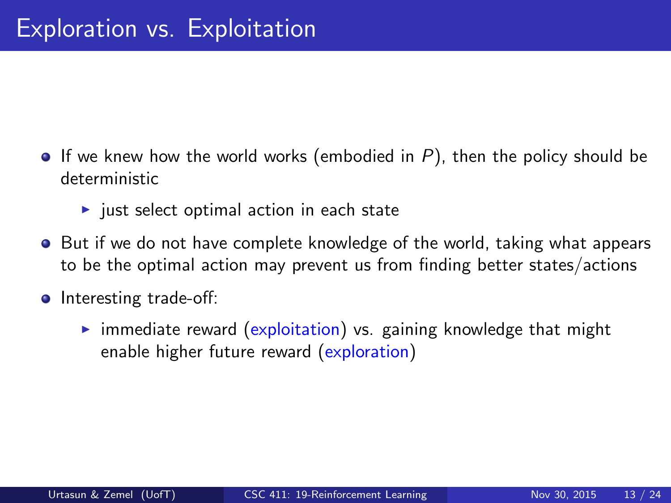- If we knew how the world works (embodied in  $P$ ), then the policy should be deterministic
	- $\blacktriangleright$  just select optimal action in each state
- **•** But if we do not have complete knowledge of the world, taking what appears to be the optimal action may prevent us from finding better states/actions
- **o** Interesting trade-off:
	- $\triangleright$  immediate reward (exploitation) vs. gaining knowledge that might enable higher future reward (exploration)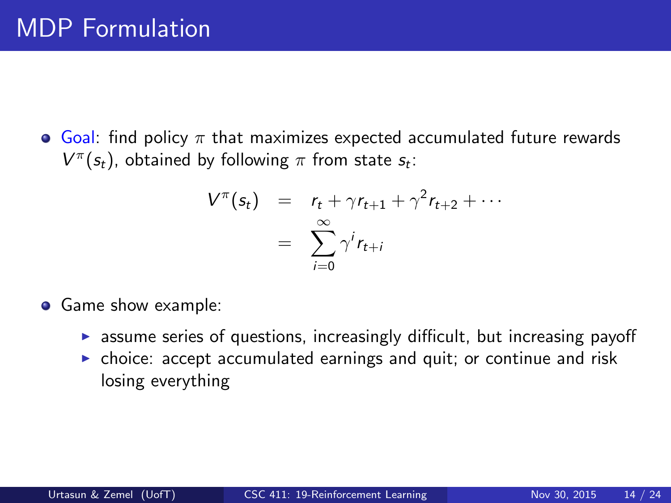**•** Goal: find policy  $\pi$  that maximizes expected accumulated future rewards  $V^{\pi}(s_t)$ , obtained by following  $\pi$  from state  $s_t$ :

$$
V^{\pi}(s_t) = r_t + \gamma r_{t+1} + \gamma^2 r_{t+2} + \cdots
$$

$$
= \sum_{i=0}^{\infty} \gamma^i r_{t+i}
$$

- **Game show example:** 
	- $\triangleright$  assume series of questions, increasingly difficult, but increasing payoff
	- $\triangleright$  choice: accept accumulated earnings and quit; or continue and risk losing everything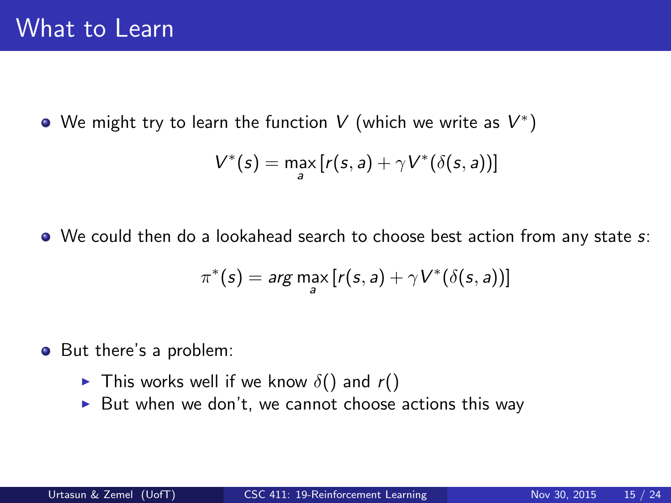We might try to learn the function  $V$  (which we write as  $V^\ast)$ 

$$
V^*(s) = \max_a [r(s,a) + \gamma V^*(\delta(s,a))]
$$

• We could then do a lookahead search to choose best action from any state s:

$$
\pi^*(s) = \arg\max_{a} \left[ r(s,a) + \gamma V^*(\delta(s,a)) \right]
$$

• But there's a problem:

- $\triangleright$  This works well if we know  $\delta()$  and  $r()$
- $\triangleright$  But when we don't, we cannot choose actions this way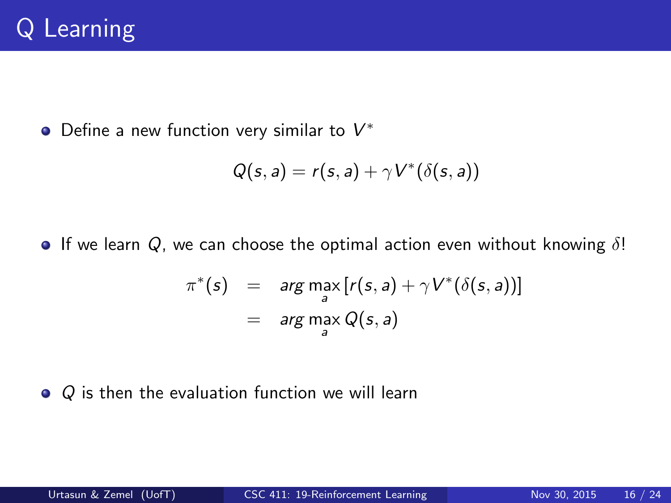Define a new function very similar to  $V^*$ 

$$
Q(s,a) = r(s,a) + \gamma V^*(\delta(s,a))
$$

**If** we learn  $Q$ , we can choose the optimal action even without knowing  $\delta$ !

$$
\pi^*(s) = \arg\max_{a} [r(s, a) + \gamma V^*(\delta(s, a))]
$$
  
= 
$$
\arg\max_{a} Q(s, a)
$$

 $\bullet$  Q is then the evaluation function we will learn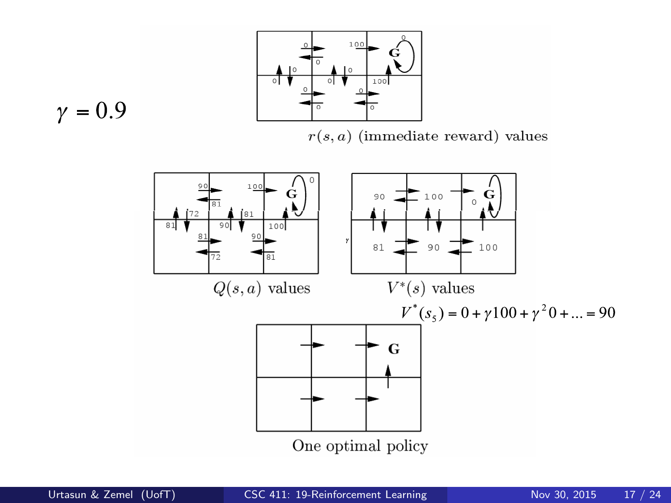

$$
\gamma = 0.9
$$

 $r(s, a)$  (immediate reward) values

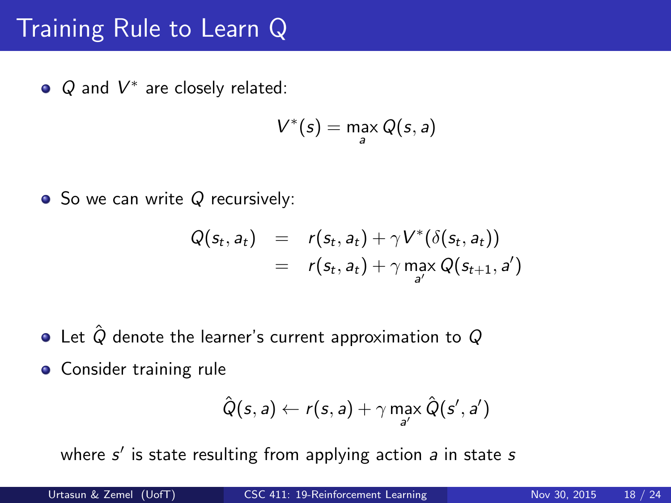# Training Rule to Learn Q

 $Q$  and  $V^*$  are closely related:

$$
V^*(s) = \max_{a} Q(s, a)
$$

• So we can write 
$$
Q
$$
 recursively:

$$
Q(s_t, a_t) = r(s_t, a_t) + \gamma V^*(\delta(s_t, a_t))
$$
  
=  $r(s_t, a_t) + \gamma \max_{a'} Q(s_{t+1}, a')$ 

- $\bullet$  Let  $\hat{Q}$  denote the learner's current approximation to  $Q$
- **•** Consider training rule

$$
\hat{Q}(s, a) \leftarrow r(s, a) + \gamma \max_{a'} \hat{Q}(s', a')
$$

where  $s'$  is state resulting from applying action  $a$  in state  $s$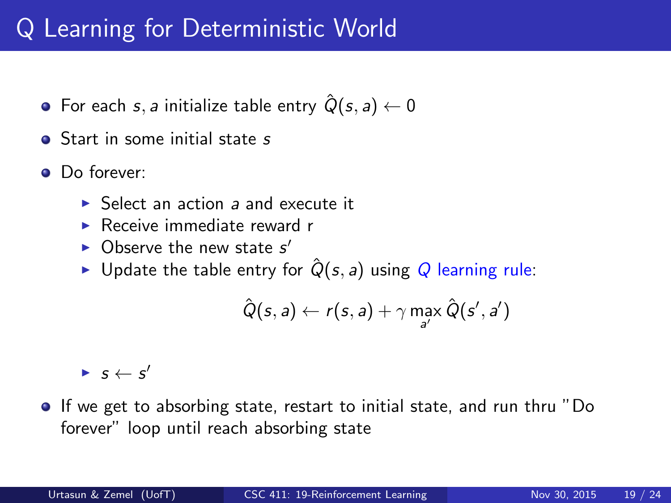# Q Learning for Deterministic World

- For each s, a initialize table entry  $\hat{Q}(s, a) \leftarrow 0$
- **•** Start in some initial state s
- **O** Do forever:
	- $\triangleright$  Select an action a and execute it
	- $\blacktriangleright$  Receive immediate reward r
	- $\triangleright$  Observe the new state s'
	- ► Update the table entry for  $\hat{Q}(s, a)$  using Q learning rule:

$$
\hat{Q}(s, a) \leftarrow r(s, a) + \gamma \max_{a'} \hat{Q}(s', a')
$$

 $\blacktriangleright$   $s \leftarrow s'$ 

If we get to absorbing state, restart to initial state, and run thru "Do forever" loop until reach absorbing state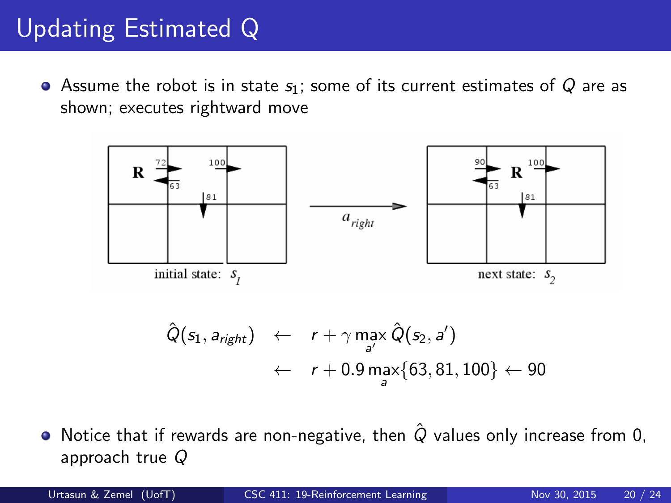# Updating Estimated Q

• Assume the robot is in state  $s_1$ ; some of its current estimates of Q are as shown; executes rightward move



$$
\hat{Q}(s_1, a_{right}) \leftarrow r + \gamma \max_{a'} \hat{Q}(s_2, a')
$$
  
 
$$
\leftarrow r + 0.9 \max_{a} \{63, 81, 100\} \leftarrow 90
$$

 $\bullet$  Notice that if rewards are non-negative, then  $\hat{Q}$  values only increase from 0, approach true Q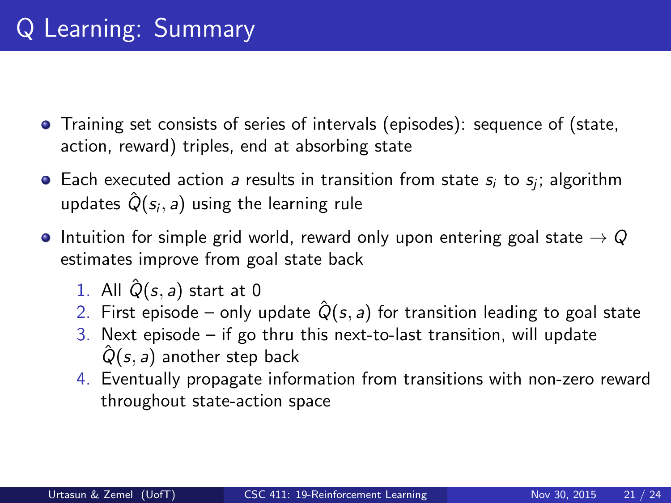- Training set consists of series of intervals (episodes): sequence of (state, action, reward) triples, end at absorbing state
- Each executed action *a* results in transition from state  $s_i$  to  $s_j$ ; algorithm updates  $\hat{Q} (s_i, a)$  using the learning rule
- **•** Intuition for simple grid world, reward only upon entering goal state  $\rightarrow Q$ estimates improve from goal state back
	- 1. All  $\hat{Q}(s, a)$  start at 0
	- 2. First episode only update  $\hat{Q}(s, a)$  for transition leading to goal state
	- 3. Next episode  $-$  if go thru this next-to-last transition, will update  $\hat{Q}(s, a)$  another step back
	- 4. Eventually propagate information from transitions with non-zero reward throughout state-action space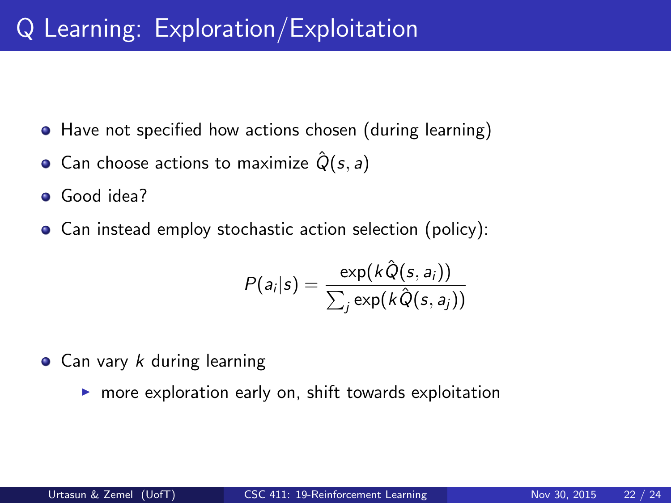- Have not specified how actions chosen (during learning)
- Can choose actions to maximize  $\hat{Q}(s, a)$
- **•** Good idea?
- Can instead employ stochastic action selection (policy):

$$
P(a_i|s) = \frac{\exp(k\hat{Q}(s, a_i))}{\sum_j \exp(k\hat{Q}(s, a_j))}
$$

- $\bullet$  Can vary k during learning
	- $\triangleright$  more exploration early on, shift towards exploitation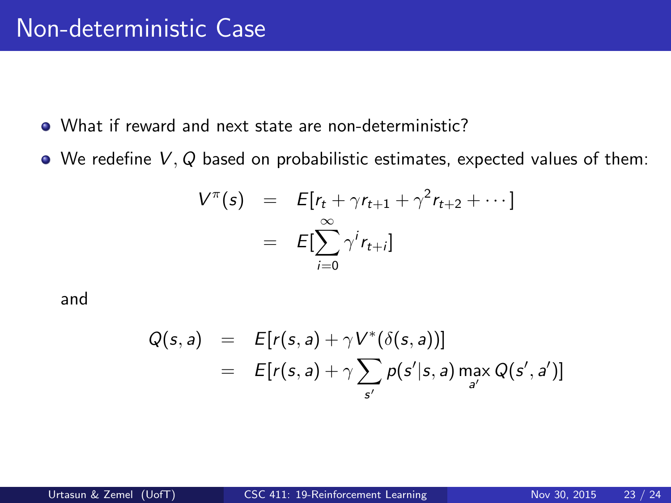- What if reward and next state are non-deterministic?
- $\bullet$  We redefine  $V, Q$  based on probabilistic estimates, expected values of them:

$$
V^{\pi}(s) = E[r_t + \gamma r_{t+1} + \gamma^2 r_{t+2} + \cdots]
$$
  
= 
$$
E[\sum_{i=0}^{\infty} \gamma^i r_{t+i}]
$$

and

$$
Q(s, a) = E[r(s, a) + \gamma V^*(\delta(s, a))]
$$
  
= 
$$
E[r(s, a) + \gamma \sum_{s'} p(s'|s, a) \max_{a'} Q(s', a')]
$$